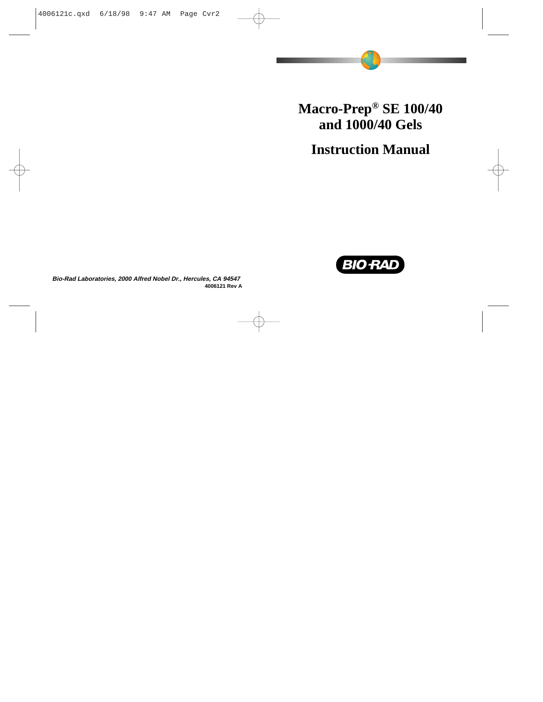# **Macro-Prep® SE 100/40 and 1000/40 Gels**

**Instruction Manual**



**Bio-Rad Laboratories, 2000 Alfred Nobel Dr., Hercules, CA 94547 4006121 Rev A**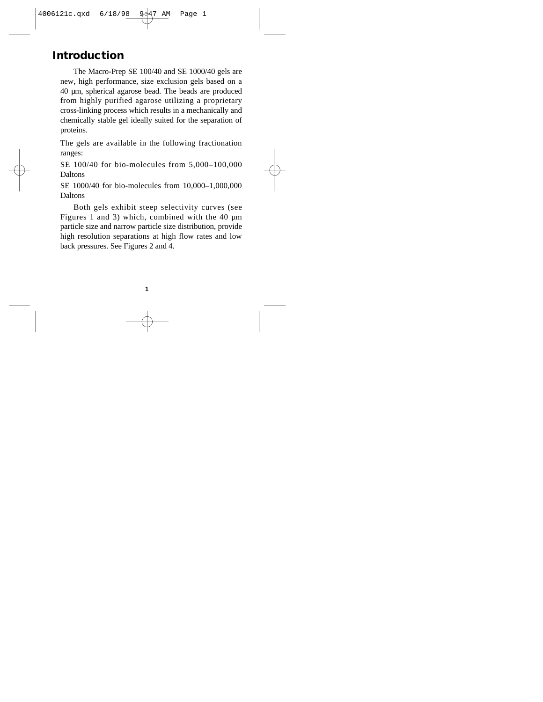### **Introduction**

The Macro-Prep SE 100/40 and SE 1000/40 gels are new, high performance, size exclusion gels based on a 40 µm, spherical agarose bead. The beads are produced from highly purified agarose utilizing a proprietary cross-linking process which results in a mechanically and chemically stable gel ideally suited for the separation of proteins.

The gels are available in the following fractionation ranges:

SE 100/40 for bio-molecules from 5,000–100,000 Daltons

SE 1000/40 for bio-molecules from 10,000–1,000,000 Daltons

Both gels exhibit steep selectivity curves (see Figures 1 and 3) which, combined with the 40 µm particle size and narrow particle size distribution, provide high resolution separations at high flow rates and low back pressures. See Figures 2 and 4.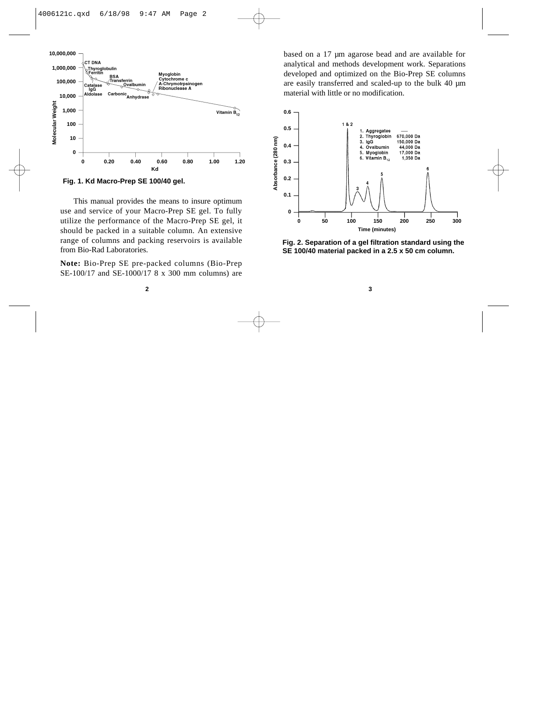

**Fig. 1. Kd Macro-Prep SE 100/40 gel.**

This manual provides the means to insure optimum use and service of your Macro-Prep SE gel. To fully utilize the performance of the Macro-Prep SE gel, it should be packed in a suitable column. An extensive range of columns and packing reservoirs is available from Bio-Rad Laboratories.

**Note:** Bio-Prep SE pre-packed columns (Bio-Prep SE-100/17 and SE-1000/17 8 x 300 mm columns) are

based on a 17 µm agarose bead and are available for analytical and methods development work. Separations developed and optimized on the Bio-Prep SE columns are easily transferred and scaled-up to the bulk 40 µm material with little or no modification.



**Fig. 2. Separation of a gel filtration standard using the SE 100/40 material packed in a 2.5 x 50 cm column.**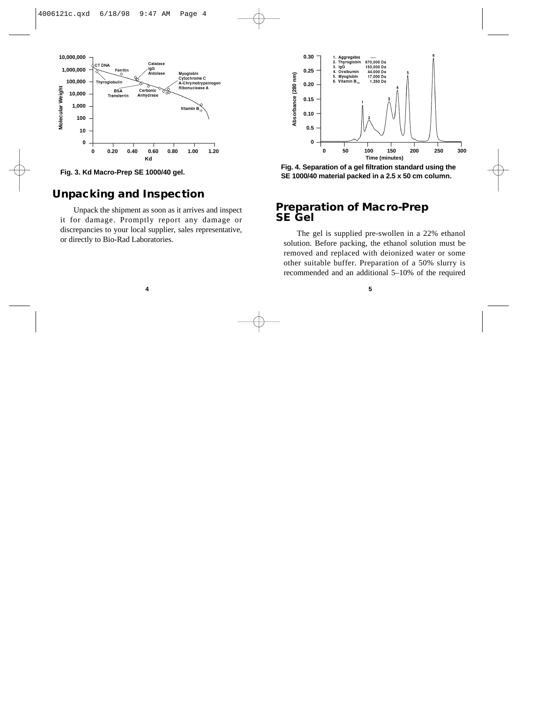

**Fig. 3. Kd Macro-Prep SE 1000/40 gel.**

### **Unpacking and Inspection**

Unpack the shipment as soon as it arrives and inspect it for damage. Promptly report any damage or discrepancies to your local supplier, sales representative, or directly to Bio-Rad Laboratories.



**Fig. 4. Separation of a gel filtration standard using the SE 1000/40 material packed in a 2.5 x 50 cm column.**

#### **Preparation of Macro-Prep SE Gel**

The gel is supplied pre-swollen in a 22% ethanol solution. Before packing, the ethanol solution must be removed and replaced with deionized water or some other suitable buffer. Preparation of a 50% slurry is recommended and an additional 5–10% of the required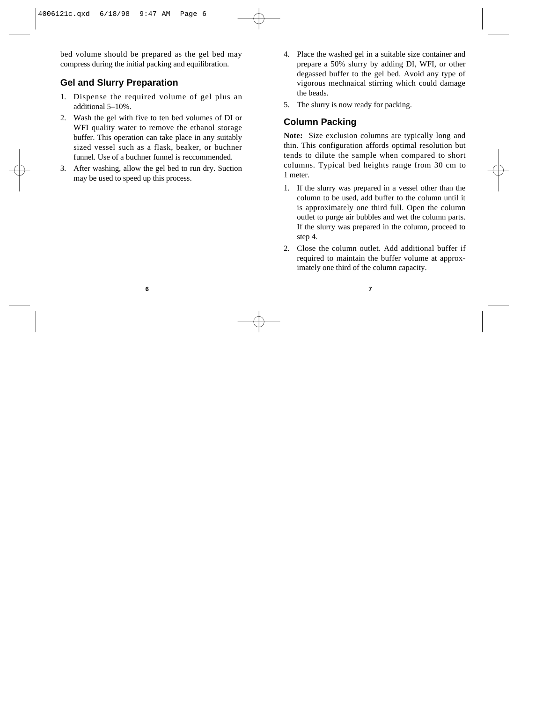bed volume should be prepared as the gel bed may compress during the initial packing and equilibration.

### **Gel and Slurry Preparation**

- 1. Dispense the required volume of gel plus an additional 5–10%.
- 2. Wash the gel with five to ten bed volumes of DI or WFI quality water to remove the ethanol storage buffer. This operation can take place in any suitably sized vessel such as a flask, beaker, or buchner funnel. Use of a buchner funnel is reccommended.
- 3. After washing, allow the gel bed to run dry. Suction may be used to speed up this process.
- 4. Place the washed gel in a suitable size container and prepare a 50% slurry by adding DI, WFI, or other degassed buffer to the gel bed. Avoid any type of vigorous mechnaical stirring which could damage the beads.
- 5. The slurry is now ready for packing.

### **Column Packing**

**Note:** Size exclusion columns are typically long and thin. This configuration affords optimal resolution but tends to dilute the sample when compared to short columns. Typical bed heights range from 30 cm to 1 meter.

- 1. If the slurry was prepared in a vessel other than the column to be used, add buffer to the column until it is approximately one third full. Open the column outlet to purge air bubbles and wet the column parts. If the slurry was prepared in the column, proceed to step 4.
- 2. Close the column outlet. Add additional buffer if required to maintain the buffer volume at approximately one third of the column capacity.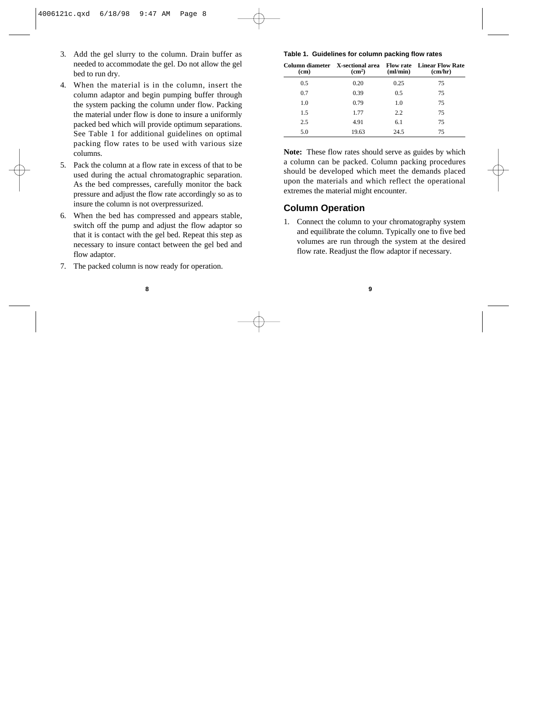- 3. Add the gel slurry to the column. Drain buffer as needed to accommodate the gel. Do not allow the gel bed to run dry.
- 4. When the material is in the column, insert the column adaptor and begin pumping buffer through the system packing the column under flow. Packing the material under flow is done to insure a uniformly packed bed which will provide optimum separations. See Table 1 for additional guidelines on optimal packing flow rates to be used with various size columns.
- 5. Pack the column at a flow rate in excess of that to be used during the actual chromatographic separation. As the bed compresses, carefully monitor the back pressure and adjust the flow rate accordingly so as to insure the column is not overpressurized.
- 6. When the bed has compressed and appears stable, switch off the pump and adjust the flow adaptor so that it is contact with the gel bed. Repeat this step as necessary to insure contact between the gel bed and flow adaptor.
- 7. The packed column is now ready for operation.

#### **Table 1. Guidelines for column packing flow rates**

| (c <sub>m</sub> ) | (cm <sup>2</sup> ) | (ml/min) | Column diameter X-sectional area Flow rate Linear Flow Rate<br>(cm/hr) |
|-------------------|--------------------|----------|------------------------------------------------------------------------|
| 0.5               | 0.20               | 0.25     | 75                                                                     |
| 0.7               | 0.39               | 0.5      | 75                                                                     |
| 1.0               | 0.79               | 1.0      | 75                                                                     |
| 1.5               | 1.77               | 2.2      | 75                                                                     |
| 2.5               | 4.91               | 6.1      | 75                                                                     |
| 5.0               | 19.63              | 24.5     | 75                                                                     |

**Note:** These flow rates should serve as guides by which a column can be packed. Column packing procedures should be developed which meet the demands placed upon the materials and which reflect the operational extremes the material might encounter.

#### **Column Operation**

1. Connect the column to your chromatography system and equilibrate the column. Typically one to five bed volumes are run through the system at the desired flow rate. Readjust the flow adaptor if necessary.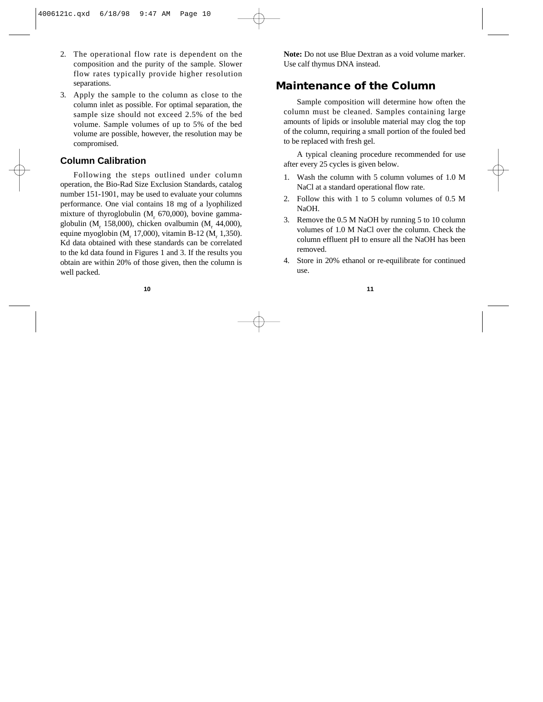- 2. The operational flow rate is dependent on the composition and the purity of the sample. Slower flow rates typically provide higher resolution separations.
- 3. Apply the sample to the column as close to the column inlet as possible. For optimal separation, the sample size should not exceed 2.5% of the bed volume. Sample volumes of up to 5% of the bed volume are possible, however, the resolution may be compromised.

#### **Column Calibration**

Following the steps outlined under column operation, the Bio-Rad Size Exclusion Standards, catalog number 151-1901, may be used to evaluate your columns performance. One vial contains 18 mg of a lyophilized mixture of thyroglobulin  $(M<sub>r</sub> 670,000)$ , bovine gammaglobulin (M $_{r}$  158,000), chicken ovalbumin (M $_{r}$  44,000), equine myoglobin (M<sub>r</sub> 17,000), vitamin B-12 (M<sub>r</sub> 1,350). Kd data obtained with these standards can be correlated to the kd data found in Figures 1 and 3. If the results you obtain are within 20% of those given, then the column is well packed.

**Note:** Do not use Blue Dextran as a void volume marker. Use calf thymus DNA instead.

### **Maintenance of the Column**

Sample composition will determine how often the column must be cleaned. Samples containing large amounts of lipids or insoluble material may clog the top of the column, requiring a small portion of the fouled bed to be replaced with fresh gel.

A typical cleaning procedure recommended for use after every 25 cycles is given below.

- 1. Wash the column with 5 column volumes of 1.0 M NaCl at a standard operational flow rate.
- 2. Follow this with 1 to 5 column volumes of 0.5 M NaOH.
- 3. Remove the 0.5 M NaOH by running 5 to 10 column volumes of 1.0 M NaCl over the column. Check the column effluent pH to ensure all the NaOH has been removed.
- 4. Store in 20% ethanol or re-equilibrate for continued use.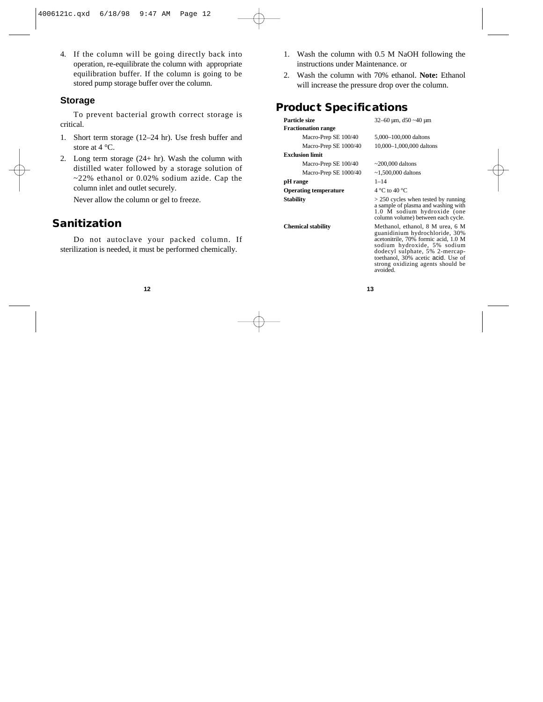4. If the column will be going directly back into operation, re-equilibrate the column with appropriate equilibration buffer. If the column is going to be stored pump storage buffer over the column.

#### **Storage**

To prevent bacterial growth correct storage is critical.

- 1. Short term storage (12–24 hr). Use fresh buffer and store at 4 °C.
- 2. Long term storage (24+ hr). Wash the column with distilled water followed by a storage solution of  $\approx$  22% ethanol or 0.02% sodium azide. Cap the column inlet and outlet securely.

Never allow the column or gel to freeze.

### **Sanitization**

Do not autoclave your packed column. If sterilization is needed, it must be performed chemically.

- 1. Wash the column with 0.5 M NaOH following the instructions under Maintenance. or
- 2. Wash the column with 70% ethanol. **Note:** Ethanol will increase the pressure drop over the column.

## **Product Specifications**

| Particle size                | $32 - 60$ µm, $d50 \sim 40$ µm                                                                                                                                                                                                                                     |  |  |
|------------------------------|--------------------------------------------------------------------------------------------------------------------------------------------------------------------------------------------------------------------------------------------------------------------|--|--|
| <b>Fractionation range</b>   |                                                                                                                                                                                                                                                                    |  |  |
| Macro-Prep SE 100/40         | 5,000-100,000 daltons                                                                                                                                                                                                                                              |  |  |
| Macro-Prep SE 1000/40        | 10,000-1,000,000 daltons                                                                                                                                                                                                                                           |  |  |
| <b>Exclusion limit</b>       |                                                                                                                                                                                                                                                                    |  |  |
| Macro-Prep SE 100/40         | $\sim$ 200,000 daltons                                                                                                                                                                                                                                             |  |  |
| Macro-Prep SE 1000/40        | $~1,500,000$ daltons                                                                                                                                                                                                                                               |  |  |
| pH range                     | $1 - 14$                                                                                                                                                                                                                                                           |  |  |
| <b>Operating temperature</b> | $4^{\circ}$ C to $40^{\circ}$ C                                                                                                                                                                                                                                    |  |  |
| <b>Stability</b>             | $> 250$ cycles when tested by running<br>a sample of plasma and washing with<br>1.0 M sodium hydroxide (one<br>column volume) between each cycle.                                                                                                                  |  |  |
| <b>Chemical stability</b>    | Methanol, ethanol, 8 M urea, 6 M<br>guanidinium hydrochloride, 30%<br>acetonitrile, 70% formic acid, 1.0 M<br>sodium hydroxide, 5% sodium<br>dodecyl sulphate, 5% 2-mercap-<br>toethanol, 30% acetic acid. Use of<br>strong oxidizing agents should be<br>avoided. |  |  |